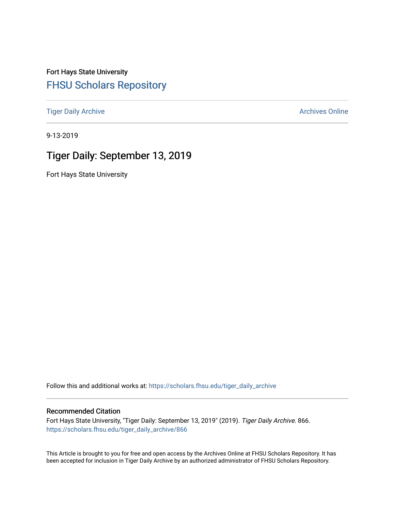Fort Hays State University [FHSU Scholars Repository](https://scholars.fhsu.edu/) 

[Tiger Daily Archive](https://scholars.fhsu.edu/tiger_daily_archive) **Archives** Online Archives Online

9-13-2019

# Tiger Daily: September 13, 2019

Fort Hays State University

Follow this and additional works at: [https://scholars.fhsu.edu/tiger\\_daily\\_archive](https://scholars.fhsu.edu/tiger_daily_archive?utm_source=scholars.fhsu.edu%2Ftiger_daily_archive%2F866&utm_medium=PDF&utm_campaign=PDFCoverPages)

### Recommended Citation

Fort Hays State University, "Tiger Daily: September 13, 2019" (2019). Tiger Daily Archive. 866. [https://scholars.fhsu.edu/tiger\\_daily\\_archive/866](https://scholars.fhsu.edu/tiger_daily_archive/866?utm_source=scholars.fhsu.edu%2Ftiger_daily_archive%2F866&utm_medium=PDF&utm_campaign=PDFCoverPages)

This Article is brought to you for free and open access by the Archives Online at FHSU Scholars Repository. It has been accepted for inclusion in Tiger Daily Archive by an authorized administrator of FHSU Scholars Repository.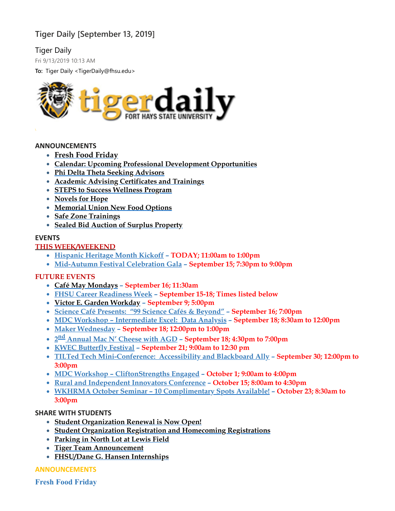# **Tiger Daily [September 13, 2019]**

# Tiger Daily

Fri 9/13/2019 10:13 AM

**To:** Tiger Daily <TigerDaily@fhsu.edu>



### **ANNOUNCEMENTS**

- **[Fresh Food Friday](#page-1-0)**
- **Calendar: Upcoming Professional Development [Opportunities](#page-2-0)**
- **Phi Delta Theta Seeking [Advisors](#page-2-1)**
- **Academic Advising [Certificates](#page-2-2) and Trainings**
- **STEPS to Success [Wellness](#page-3-0) Program**
- **[Novels](#page-3-1) for Hope**
- **[Memorial](#page-4-0) Union New Food Options**
- **Safe Zone [Trainings](#page-4-1)**
- **Sealed Bid Auction of Surplus [Property](#page-4-2)**

### **EVENTS**

# **THIS WEEK/WEEKEND**

- **[Hispanic](#page-4-3) Heritage Month Kickoff – TODAY; 11:00am to 1:00pm**
- **[Mid-Autumn](#page-5-0) Festival Celebration Gala – September 15; 7:30pm to 9:00pm**

# **FUTURE EVENTS**

- **Café May [Mondays](#page-4-4) – September 16; 11:30am**
- **FHSU Career [Readiness](#page-5-1) Week – September 15-18; Times listed below**
- **Victor E. Garden [Workday](#page-6-0) – September 9; 5:00pm**
- **Science Café [Presents:](#page-6-1) "99 Science Cafés & Beyond" – September 16; 7:00pm**
- **MDC Workshop – [Intermediate](#page-6-2) Excel: Data Analysis – September 18; 8:30am to 12:00pm**
- **Maker [Wednesday](#page-6-3) – September 18; 12:00pm to 1:00pm**
- **2 nd [Annual](#page-7-0) Mac N' Cheese with AGD – September 18; 4:30pm to 7:00pm**
- **KWEC [Butterfly](#page-7-1) Festival – September 21; 9:00am to 12:30 pm**
- **TILTed Tech [Mini-Conference:](#page-7-2) Accessibility and Blackboard Ally – September 30; 12:00pm to 3:00pm**
- **MDC Workshop – [CliftonStrengths](#page-8-0) Engaged – October 1; 9:00am to 4:00pm**
- **Rural and [Independent](#page-8-1) Innovators Conference – October 15; 8:00am to 4:30pm**
- **WKHRMA October Seminar – 10 [Complimentary](#page-9-0) Spots Available! – October 23; 8:30am to 3:00pm**

# **SHARE WITH STUDENTS**

- **Student [Organization](#page-9-1) Renewal is Now Open!**
- **Student Organization Registration and [Homecoming](#page-9-2) Registrations**
- **[Parking](#page-10-0) in North Lot at Lewis Field**
- **Tiger Team [Announcement](#page-10-1)**
- <span id="page-1-0"></span>**[FHSU/Dane](#page-10-2) G. Hansen Internships**

**ANNOUNCEMENTS**

**Fresh Food Friday**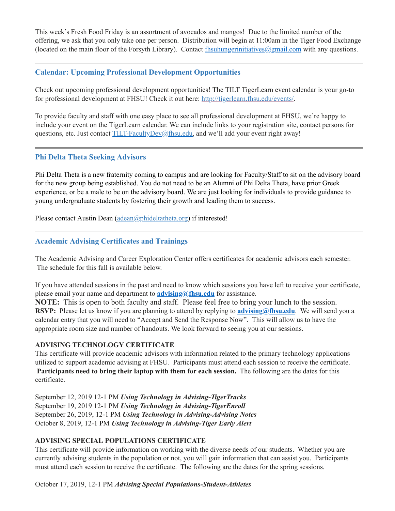This week's Fresh Food Friday is an assortment of avocados and mangos! Due to the limited number of the offering, we ask that you only take one per person. Distribution will begin at 11:00am in the Tiger Food Exchange (located on the main floor of the Forsyth Library). Contact [fhsuhungerinitiatives@gmail.com](mailto:fhsuhungerinitiatives@gmail.com) with any questions.

# <span id="page-2-0"></span>**Calendar: Upcoming Professional Development Opportunities**

Check out upcoming professional development opportunities! The TILT TigerLearn event calendar is your go-to for professional development at FHSU! Check it out here: [http://tigerlearn.fhsu.edu/events/.](http://tigerlearn.fhsu.edu/events/)

To provide faculty and staff with one easy place to see all professional development at FHSU, we're happy to include your event on the TigerLearn calendar. We can include links to your registration site, contact persons for questions, etc. Just contact [TILT-FacultyDev@fhsu.edu,](mailto:TILT-FacultyDev@fhsu.edu) and we'll add your event right away!

# <span id="page-2-1"></span>**Phi Delta Theta Seeking Advisors**

Phi Delta Theta is a new fraternity coming to campus and are looking for Faculty/Staff to sit on the advisory board for the new group being established. You do not need to be an Alumni of Phi Delta Theta, have prior Greek experience, or be a male to be on the advisory board. We are just looking for individuals to provide guidance to young undergraduate students by fostering their growth and leading them to success.

Please contact Austin Dean [\(adean@phideltatheta.org\)](mailto:adean@phideltatheta.org) if interested!

# <span id="page-2-2"></span>**Academic Advising Certificates and Trainings**

The Academic Advising and Career Exploration Center offers certificates for academic advisors each semester. The schedule for this fall is available below.

If you have attended sessions in the past and need to know which sessions you have left to receive your certificate, please email your name and department to **[advising@fhsu.edu](mailto:advising@fhsu.edu)** for assistance.

**NOTE:** This is open to both faculty and staff. Please feel free to bring your lunch to the session. **RSVP:** Please let us know if you are planning to attend by replying to **[advising@fhsu.edu](mailto:advising@fhsu.edu)**. We will send you a calendar entry that you will need to "Accept and Send the Response Now". This will allow us to have the appropriate room size and number of handouts. We look forward to seeing you at our sessions.

### **ADVISING TECHNOLOGY CERTIFICATE**

This certificate will provide academic advisors with information related to the primary technology applications utilized to support academic advising at FHSU. Participants must attend each session to receive the certificate. **Participants need to bring their laptop with them for each session.** The following are the dates for this certificate.

September 12, 2019 12-1 PM *Using Technology in Advising-TigerTracks* September 19, 2019 12-1 PM *Using Technology in Advising-TigerEnroll* September 26, 2019, 12-1 PM *Using Technology in Advising-Advising Notes* October 8, 2019, 12-1 PM *Using Technology in Advising-Tiger Early Alert*

# **ADVISING SPECIAL POPULATIONS CERTIFICATE**

This certificate will provide information on working with the diverse needs of our students. Whether you are currently advising students in the population or not, you will gain information that can assist you. Participants must attend each session to receive the certificate. The following are the dates for the spring sessions.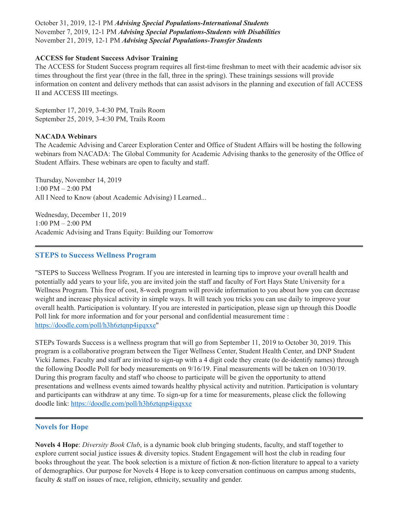October 31, 2019, 12-1 PM *Advising Special Populations-International Students* November 7, 2019, 12-1 PM *Advising Special Populations-Students with Disabilities* November 21, 2019, 12-1 PM *Advising Special Populations-Transfer Students*

### **ACCESS for Student Success Advisor Training**

The ACCESS for Student Success program requires all first-time freshman to meet with their academic advisor six times throughout the first year (three in the fall, three in the spring). These trainings sessions will provide information on content and delivery methods that can assist advisors in the planning and execution of fall ACCESS II and ACCESS III meetings.

September 17, 2019, 3-4:30 PM, Trails Room September 25, 2019, 3-4:30 PM, Trails Room

### **NACADA Webinars**

The Academic Advising and Career Exploration Center and Office of Student Affairs will be hosting the following webinars from NACADA: The Global Community for Academic Advising thanks to the generosity of the Office of Student Affairs. These webinars are open to faculty and staff.

Thursday, November 14, 2019 1:00 PM – 2:00 PM All I Need to Know (about Academic Advising) I Learned...

Wednesday, December 11, 2019 1:00 PM – 2:00 PM Academic Advising and Trans Equity: Building our Tomorrow

### <span id="page-3-0"></span>**STEPS to Success Wellness Program**

"STEPS to Success Wellness Program. If you are interested in learning tips to improve your overall health and potentially add years to your life, you are invited join the staff and faculty of Fort Hays State University for a Wellness Program. This free of cost, 8-week program will provide information to you about how you can decrease weight and increase physical activity in simple ways. It will teach you tricks you can use daily to improve your overall health. Participation is voluntary. If you are interested in participation, please sign up through this Doodle Poll link for more information and for your personal and confidential measurement time : [https://doodle.com/poll/h3h6ztqnp4igqxxe"](https://doodle.com/poll/h3h6ztqnp4igqxxe)

STEPs Towards Success is a wellness program that will go from September 11, 2019 to October 30, 2019. This program is a collaborative program between the Tiger Wellness Center, Student Health Center, and DNP Student Vicki James. Faculty and staff are invited to sign-up with a 4 digit code they create (to de-identify names) through the following Doodle Poll for body measurements on 9/16/19. Final measurements will be taken on 10/30/19. During this program faculty and staff who choose to participate will be given the opportunity to attend presentations and wellness events aimed towards healthy physical activity and nutrition. Participation is voluntary and participants can withdraw at any time. To sign-up for a time for measurements, please click the following doodle link: <https://doodle.com/poll/h3h6ztqnp4igqxxe>

# <span id="page-3-1"></span>**Novels for Hope**

**Novels 4 Hope**: *Diversity Book Club*, is a dynamic book club bringing students, faculty, and staff together to explore current social justice issues & diversity topics. Student Engagement will host the club in reading four books throughout the year. The book selection is a mixture of fiction & non-fiction literature to appeal to a variety of demographics. Our purpose for Novels 4 Hope is to keep conversation continuous on campus among students, faculty & staff on issues of race, religion, ethnicity, sexuality and gender.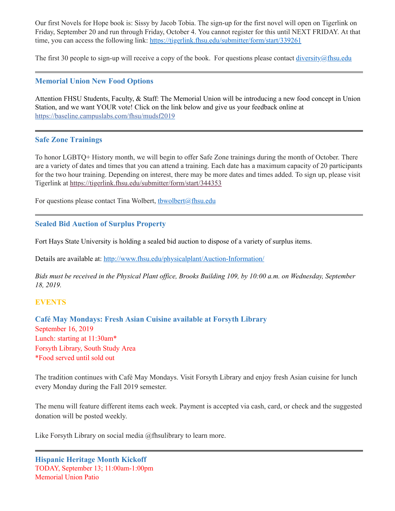Our first Novels for Hope book is: Sissy by Jacob Tobia. The sign-up for the first novel will open on Tigerlink on Friday, September 20 and run through Friday, October 4. You cannot register for this until NEXT FRIDAY. At that time, you can access the following link: <https://tigerlink.fhsu.edu/submitter/form/start/339261>

The first 30 people to sign-up will receive a copy of the book. For questions please contact  $\frac{diversity}{a}$ fhsu.edu

# <span id="page-4-0"></span>**Memorial Union New Food Options**

Attention FHSU Students, Faculty, & Staff: The Memorial Union will be introducing a new food concept in Union Station, and we want YOUR vote! Click on the link below and give us your feedback online at [https://baseline.campuslabs.com/fhsu/mudsf2019](https://baseline.campuslabs.com/fhsu/mudsf2019?fbclid=IwAR3O8zzAn7DkBeKqLu3iaV89j9ZSiFTkA9kTScfRPj9T1CWy5ScyAvUwaG0)

# <span id="page-4-1"></span>**Safe Zone Trainings**

To honor LGBTQ+ History month, we will begin to offer Safe Zone trainings during the month of October. There are a variety of dates and times that you can attend a training. Each date has a maximum capacity of 20 participants for the two hour training. Depending on interest, there may be more dates and times added. To sign up, please visit Tigerlink at <https://tigerlink.fhsu.edu/submitter/form/start/344353>

For questions please contact Tina Wolbert, thwolbert@fhsu.edu

# <span id="page-4-2"></span>**Sealed Bid Auction of Surplus Property**

Fort Hays State University is holding a sealed bid auction to dispose of a variety of surplus items.

Details are available at: <http://www.fhsu.edu/physicalplant/Auction-Information/>

Bids must be received in the Physical Plant office, Brooks Building 109, by 10:00 a.m. on Wednesday, September *18, 2019.*

# **EVENTS**

<span id="page-4-4"></span>**Café May Mondays: Fresh Asian Cuisine available at Forsyth Library** September 16, 2019 Lunch: starting at 11:30am\* Forsyth Library, South Study Area \*Food served until sold out

The tradition continues with Café May Mondays. Visit Forsyth Library and enjoy fresh Asian cuisine for lunch every Monday during the Fall 2019 semester.

The menu will feature different items each week. Payment is accepted via cash, card, or check and the suggested donation will be posted weekly.

<span id="page-4-3"></span>Like Forsyth Library on social media @fhsulibrary to learn more.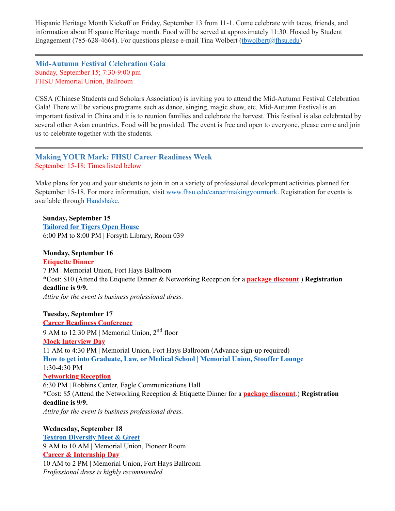Hispanic Heritage Month Kickoff on Friday, September 13 from 11-1. Come celebrate with tacos, friends, and information about Hispanic Heritage month. Food will be served at approximately 11:30. Hosted by Student Engagement (785-628-4664). For questions please e-mail Tina Wolbert (thwolbert  $(a)$ fhsu.edu)

<span id="page-5-0"></span>**Mid-Autumn Festival Celebration Gala** Sunday, September 15; 7:30-9:00 pm FHSU Memorial Union, Ballroom

CSSA (Chinese Students and Scholars Association) is inviting you to attend the Mid-Autumn Festival Celebration Gala! There will be various programs such as dance, singing, magic show, etc. Mid-Autumn Festival is an important festival in China and it is to reunion families and celebrate the harvest. This festival is also celebrated by several other Asian countries. Food will be provided. The event is free and open to everyone, please come and join us to celebrate together with the students.

<span id="page-5-1"></span>**Making YOUR Mark: FHSU Career Readiness Week** September 15-18; Times listed below

Make plans for you and your students to join in on a variety of professional development activities planned for September 15-18. For more information, visit [www.fhsu.edu/career/makingyourmark.](http://www.fhsu.edu/career/makingyourmark) Registration for events is available through [Handshake.](https://fhsu.joinhandshake.com/login)

**Sunday, September 15 [Tailored](https://fhsu.joinhandshake.com/events/316471/share_preview) for Tigers Open House** 6:00 PM to 8:00 PM | Forsyth Library, Room 039

**Monday, September 16**

**[Etiquette](https://fhsu.joinhandshake.com/events/324687/share_preview) Dinner** 7 PM | Memorial Union, Fort Hays Ballroom \*Cost: \$10 (Attend the Etiquette Dinner & Networking Reception for a **package [discount](https://fhsu.joinhandshake.com/events/324702/share_preview)**.) **Registration deadline is 9/9.** *Attire for the event is business professional dress.*

**Tuesday, September 17**

**Career Readiness [Conference](https://fhsu.joinhandshake.com/events/323674/share_preview)** 9 AM to 12:30 PM | Memorial Union, 2<sup>nd</sup> floor **Mock [Interview](https://fhsu.joinhandshake.com/jobs/2908242/share_preview) Day** 11 AM to 4:30 PM | Memorial Union, Fort Hays Ballroom (Advance sign-up required) **How to get into [Graduate,](https://fhsu.joinhandshake.com/events/330263/share_preview) Law, or Medical School | Memorial Union, Stouffer Lounge** 1:30-4:30 PM **[Networking](https://fhsu.joinhandshake.com/events/324701/share_preview) Reception** 6:30 PM | Robbins Center, Eagle Communications Hall \*Cost: \$5 (Attend the Networking Reception & Etiquette Dinner for a **package [discount](https://fhsu.joinhandshake.com/events/324702/share_preview)**.) **Registration deadline is 9/9.** *Attire for the event is business professional dress.*

### **Wednesday, September 18**

**Textron [Diversity](https://fhsu.joinhandshake.com/events/325966/share_preview) Meet & Greet** 9 AM to 10 AM | Memorial Union, Pioneer Room **Career & [Internship](https://fhsu.joinhandshake.com/career_fairs/11008/student_preview) Day** 10 AM to 2 PM | Memorial Union, Fort Hays Ballroom *Professional dress is highly recommended.*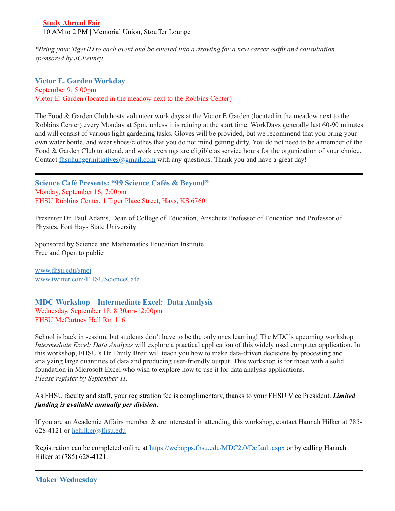### **Study [Abroad](https://fhsu.joinhandshake.com/events/323587/share_preview) Fair** 10 AM to 2 PM | Memorial Union, Stouffer Lounge

\*Bring your TigerID to each event and be entered into a drawing for a new career outfit and consultation *sponsored by JCPenney.*

### <span id="page-6-0"></span>**Victor E. Garden Workday** September 9; 5:00pm Victor E. Garden (located in the meadow next to the Robbins Center)

The Food & Garden Club hosts volunteer work days at the Victor E Garden (located in the meadow next to the Robbins Center) every Monday at 5pm, unless it is raining at the start time. WorkDays generally last 60-90 minutes and will consist of various light gardening tasks. Gloves will be provided, but we recommend that you bring your own water bottle, and wear shoes/clothes that you do not mind getting dirty. You do not need to be a member of the Food & Garden Club to attend, and work evenings are eligible as service hours for the organization of your choice. Contact  $\underline{f}$  hsuhungerinitiatives @gmail.com with any questions. Thank you and have a great day!

<span id="page-6-1"></span>**Science Café Presents: "99 Science Cafés & Beyond"** Monday, September 16; 7:00pm FHSU Robbins Center, 1 Tiger Place Street, Hays, KS 67601

Presenter Dr. Paul Adams, Dean of College of Education, Anschutz Professor of Education and Professor of Physics, Fort Hays State University

Sponsored by Science and Mathematics Education Institute Free and Open to public

[www.fhsu.edu/smei](http://www.fhsu.edu/smei) [www.twitter.com/FHSUScienceCafe](http://www.twitter.com/FHSUScienceCafe)

<span id="page-6-2"></span>**MDC Workshop – Intermediate Excel: Data Analysis** Wednesday, September 18; 8:30am-12:00pm FHSU McCartney Hall Rm 116

School is back in session, but students don't have to be the only ones learning! The MDC's upcoming workshop *Intermediate Excel: Data Analysis* will explore a practical application of this widely used computer application. In this workshop, FHSU's Dr. Emily Breit will teach you how to make data-driven decisions by processing and analyzing large quantities of data and producing user-friendly output. This workshop is for those with a solid foundation in Microsoft Excel who wish to explore how to use it for data analysis applications. *Please register by September 11.*

As FHSU faculty and staff, your registration fee is complimentary, thanks to your FHSU Vice President. *Limited funding is available annually per division***.**

If you are an Academic Affairs member & are interested in attending this workshop, contact Hannah Hilker at 785 628-4121 or [hehilker@fhsu.edu](mailto:hehilker@fhsu.edu)

<span id="page-6-3"></span>Registration can be completed online at <https://webapps.fhsu.edu/MDC2.0/Default.aspx> or by calling Hannah Hilker at (785) 628-4121.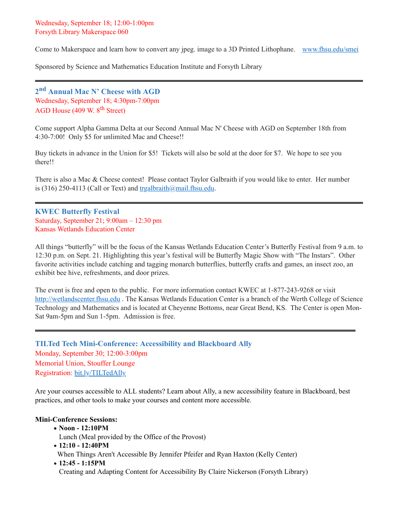Come to Makerspace and learn how to convert any jpeg. image to a 3D Printed Lithophane. [www.fhsu.edu/smei](http://www.fhsu.edu/smei)

Sponsored by Science and Mathematics Education Institute and Forsyth Library

<span id="page-7-0"></span>**2 nd Annual Mac N' Cheese with AGD** Wednesday, September 18; 4:30pm-7:00pm AGD House (409 W. 8<sup>th</sup> Street)

Come support Alpha Gamma Delta at our Second Annual Mac N' Cheese with AGD on September 18th from 4:30-7:00! Only \$5 for unlimited Mac and Cheese!!

Buy tickets in advance in the Union for \$5! Tickets will also be sold at the door for \$7. We hope to see you there!!

There is also a Mac & Cheese contest! Please contact Taylor Galbraith if you would like to enter. Her number is (316) 250-4113 (Call or Text) and  $trg \frac{\text{argalbraith}}{\text{partial.mail.fhsu.edu}}$ .

<span id="page-7-1"></span>**KWEC Butterfly Festival**  Saturday, September 21; 9:00am – 12:30 pm Kansas Wetlands Education Center

All things "butterfly" will be the focus of the Kansas Wetlands Education Center's Butterfly Festival from 9 a.m. to 12:30 p.m. on Sept. 21. Highlighting this year's festival will be Butterfly Magic Show with "The Instars". Other favorite activities include catching and tagging monarch butterflies, butterfly crafts and games, an insect zoo, an exhibit bee hive, refreshments, and door prizes.

The event is free and open to the public. For more information contact KWEC at 1-877-243-9268 or visit [http://wetlandscenter.fhsu.edu](http://wetlandscenter.fhsu.edu/) . The Kansas Wetlands Education Center is a branch of the Werth College of Science Technology and Mathematics and is located at Cheyenne Bottoms, near Great Bend, KS. The Center is open Mon-Sat 9am-5pm and Sun 1-5pm. Admission is free.

<span id="page-7-2"></span>**TILTed Tech Mini-Conference: Accessibility and Blackboard Ally** Monday, September 30; 12:00-3:00pm Memorial Union, Stouffer Lounge Registration: [bit.ly/TILTedAlly](http://bit.ly/TILTedAlly)

Are your courses accessible to ALL students? Learn about Ally, a new accessibility feature in Blackboard, best practices, and other tools to make your courses and content more accessible.

### **Mini-Conference Sessions:**

· **Noon - 12:10PM**

Lunch (Meal provided by the Office of the Provost)

- · **12:10 - 12:40PM** When Things Aren't Accessible By Jennifer Pfeifer and Ryan Haxton (Kelly Center)
- · **12:45 - 1:15PM**

Creating and Adapting Content for Accessibility By Claire Nickerson (Forsyth Library)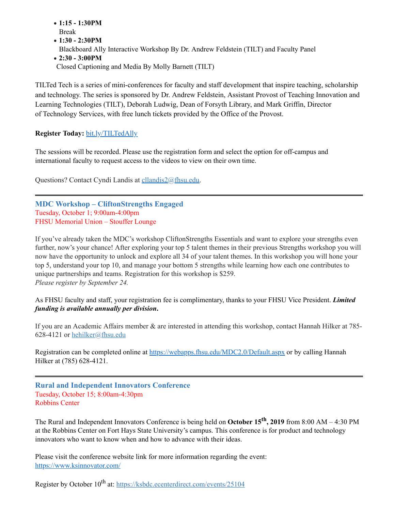- · **1:15 - 1:30PM** Break
- · **1:30 - 2:30PM**
- Blackboard Ally Interactive Workshop By Dr. Andrew Feldstein (TILT) and Faculty Panel
- · **2:30 - 3:00PM**

Closed Captioning and Media By Molly Barnett (TILT)

TILTed Tech is a series of mini-conferences for faculty and staff development that inspire teaching, scholarship and technology. The series is sponsored by Dr. Andrew Feldstein, Assistant Provost of Teaching Innovation and Learning Technologies (TILT), Deborah Ludwig, Dean of Forsyth Library, and Mark Griffin, Director of Technology Services, with free lunch tickets provided by the Office of the Provost.

# **Register Today:** [bit.ly/TILTedAlly](http://bit.ly/TILTedAlly)

The sessions will be recorded. Please use the registration form and select the option for off-campus and international faculty to request access to the videos to view on their own time.

Questions? Contact Cyndi Landis at [cllandis2@fhsu.edu.](mailto:cllandis2@fhsu.edu)

<span id="page-8-0"></span>**MDC Workshop – CliftonStrengths Engaged** Tuesday, October 1; 9:00am-4:00pm FHSU Memorial Union – Stouffer Lounge

If you've already taken the MDC's workshop CliftonStrengths Essentials and want to explore your strengths even further, now's your chance! After exploring your top 5 talent themes in their previous Strengths workshop you will now have the opportunity to unlock and explore all 34 of your talent themes. In this workshop you will hone your top 5, understand your top 10, and manage your bottom 5 strengths while learning how each one contributes to unique partnerships and teams. Registration for this workshop is \$259. *Please register by September 24.*

As FHSU faculty and staff, your registration fee is complimentary, thanks to your FHSU Vice President. *Limited funding is available annually per division***.**

If you are an Academic Affairs member & are interested in attending this workshop, contact Hannah Hilker at 785- 628-4121 or [hehilker@fhsu.edu](mailto:hehilker@fhsu.edu)

Registration can be completed online at <https://webapps.fhsu.edu/MDC2.0/Default.aspx> or by calling Hannah Hilker at (785) 628-4121.

<span id="page-8-1"></span>**Rural and Independent Innovators Conference** Tuesday, October 15; 8:00am-4:30pm Robbins Center

The Rural and Independent Innovators Conference is being held on **October 15 th , 2019** from 8:00 AM – 4:30 PM at the Robbins Center on Fort Hays State University's campus. This conference is for product and technology innovators who want to know when and how to advance with their ideas.

Please visit the conference website link for more information regarding the event: [https://www.ksinnovator.com/](https://linkprotect.cudasvc.com/url?a=https%3a%2f%2fwww.ksinnovator.com%2f&c=E,1,VmjRgormpxBBwnH0rotD4QTRl5JXVsVpT5lDsDRIxeQjZM9QtBPyYRn-Nbro7QLgMS3uD1KyfOBYrnVhuDyqC2edXlbzdCu1z5tqRlqNNlA9zc5GTQ,,&typo=1)

Register by October 10<sup>th</sup> at: <https://ksbdc.ecenterdirect.com/events/25104>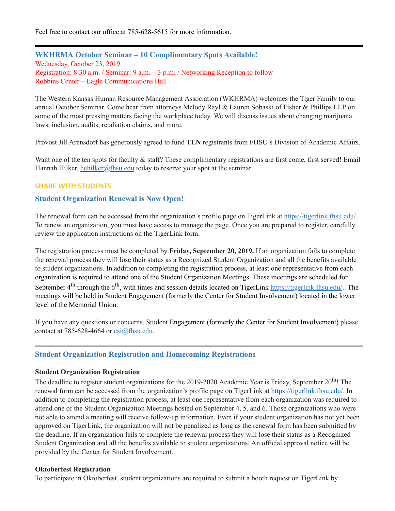Feel free to contact our office at 785-628-5615 for more information.

<span id="page-9-0"></span>**WKHRMA October Seminar – 10 Complimentary Spots Available!** Wednesday, October 23, 2019 Registration: 8:30 a.m. / Seminar: 9 a.m. – 3 p.m. / Networking Reception to follow Robbins Center – Eagle Communications Hall

The Western Kansas Human Resource Management Association (WKHRMA) welcomes the Tiger Family to our annual October Seminar. Come hear from attorneys Melody Rayl & Lauren Sobaski of Fisher & Phillips LLP on some of the most pressing matters facing the workplace today. We will discuss issues about changing marijuana laws, inclusion, audits, retaliation claims, and more.

Provost Jill Arensdorf has generously agreed to fund **TEN** registrants from FHSU's Division of Academic Affairs.

Want one of the ten spots for faculty & staff? These complimentary registrations are first come, first served! Email Hannah Hilker, [hehilker@fhsu.edu](mailto:hehilker@fhsu.edu) today to reserve your spot at the seminar.

### **SHARE WITH STUDENTS**

### <span id="page-9-1"></span>**Student Organization Renewal is Now Open!**

The renewal form can be accessed from the organization's profile page on TigerLink at [https://tigerlink.fhsu.edu/.](https://tigerlink.fhsu.edu/) To renew an organization, you must have access to manage the page. Once you are prepared to register, carefully review the application instructions on the TigerLink form.

The registration process must be completed by **Friday, September 20, 2019.** If an organization fails to complete the renewal process they will lose their status as a Recognized Student Organization and all the benefits available to student organizations. In addition to completing the registration process, at least one representative from each organization is required to attend one of the Student Organization Meetings. These meetings are scheduled for September 4<sup>th</sup> through the 6<sup>th</sup>, with times and session details located on TigerLink [https://tigerlink.fhsu.edu/.](https://tigerlink.fhsu.edu/) The meetings will be held in Student Engagement (formerly the Center for Student Involvement) located in the lower level of the Memorial Union.

If you have any questions or concerns, Student Engagement (formerly the Center for Student Involvement) please contact at 785-628-4664 or  $csi(\omega)$ fhsu.edu.

### <span id="page-9-2"></span>**Student Organization Registration and Homecoming Registrations**

#### **Student Organization Registration**

The deadline to register student organizations for the 2019-2020 Academic Year is Friday, September 20<sup>th</sup>! The renewal form can be accessed from the organization's profile page on TigerLink at [https://tigerlink.fhsu.edu/.](https://tigerlink.fhsu.edu/) In addition to completing the registration process, at least one representative from each organization was required to attend one of the Student Organization Meetings hosted on September 4, 5, and 6. Those organizations who were not able to attend a meeting will receive follow-up information. Even if your student organization has not yet been approved on TigerLink, the organization will not be penalized as long as the renewal form has been submitted by the deadline. If an organization fails to complete the renewal process they will lose their status as a Recognized Student Organization and all the benefits available to student organizations. An official approval notice will be provided by the Center for Student Involvement.

#### **Oktoberfest Registration**

To participate in Oktoberfest, student organizations are required to submit a booth request on TigerLink by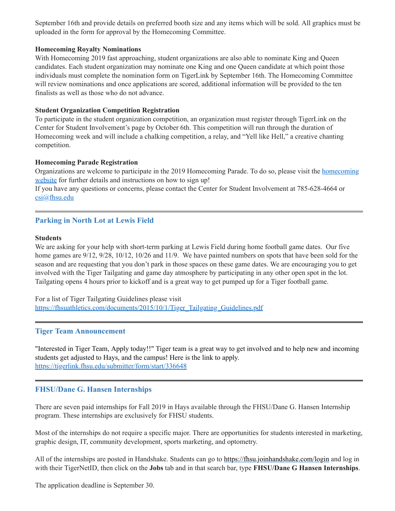September 16th and provide details on preferred booth size and any items which will be sold. All graphics must be uploaded in the form for approval by the Homecoming Committee.

### **Homecoming Royalty Nominations**

With Homecoming 2019 fast approaching, student organizations are also able to nominate King and Queen candidates. Each student organization may nominate one King and one Queen candidate at which point those individuals must complete the nomination form on TigerLink by September 16th. The Homecoming Committee will review nominations and once applications are scored, additional information will be provided to the ten finalists as well as those who do not advance.

### **Student Organization Competition Registration**

To participate in the student organization competition, an organization must register through TigerLink on the Center for Student Involvement's page by October 6th. This competition will run through the duration of Homecoming week and will include a chalking competition, a relay, and "Yell like Hell," a creative chanting competition.

### **Homecoming Parade Registration**

[Organizations](https://www.fhsu.edu/homecoming/parade/index) are welcome to participate in the 2019 Homecoming Parade. To do so, please visit the homecoming website for further details and instructions on how to sign up!

If you have any questions or concerns, please contact the Center for Student Involvement at 785-628-4664 or [csi@fhsu.edu](mailto:csi@fhsu.edu)

# <span id="page-10-0"></span>**Parking in North Lot at Lewis Field**

### **Students**

We are asking for your help with short-term parking at Lewis Field during home football game dates. Our five home games are  $9/12$ ,  $9/28$ ,  $10/12$ ,  $10/26$  and  $11/9$ . We have painted numbers on spots that have been sold for the season and are requesting that you don't park in those spaces on these game dates. We are encouraging you to get involved with the Tiger Tailgating and game day atmosphere by participating in any other open spot in the lot. Tailgating opens 4 hours prior to kickoff and is a great way to get pumped up for a Tiger football game.

For a list of Tiger Tailgating Guidelines please visit [https://fhsuathletics.com/documents/2015/10/1/Tiger\\_Tailgating\\_Guidelines.pdf](https://fhsuathletics.com/documents/2015/10/1/Tiger_Tailgating_Guidelines.pdf)

### <span id="page-10-2"></span><span id="page-10-1"></span>**Tiger Team Announcement**

"Interested in Tiger Team, Apply today!!" Tiger team is a great way to get involved and to help new and incoming students get adjusted to Hays, and the campus! Here is the link to apply. <https://tigerlink.fhsu.edu/submitter/form/start/336648>

### **FHSU/Dane G. Hansen Internships**

There are seven paid internships for Fall 2019 in Hays available through the FHSU/Dane G. Hansen Internship program. These internships are exclusively for FHSU students.

Most of the internships do not require a specific major. There are opportunities for students interested in marketing, graphic design, IT, community development, sports marketing, and optometry.

All of the internships are posted in Handshake. Students can go to <https://fhsu.joinhandshake.com/login> and log in with their TigerNetID, then click on the **Jobs** tab and in that search bar, type **FHSU/Dane G Hansen Internships**.

The application deadline is September 30.